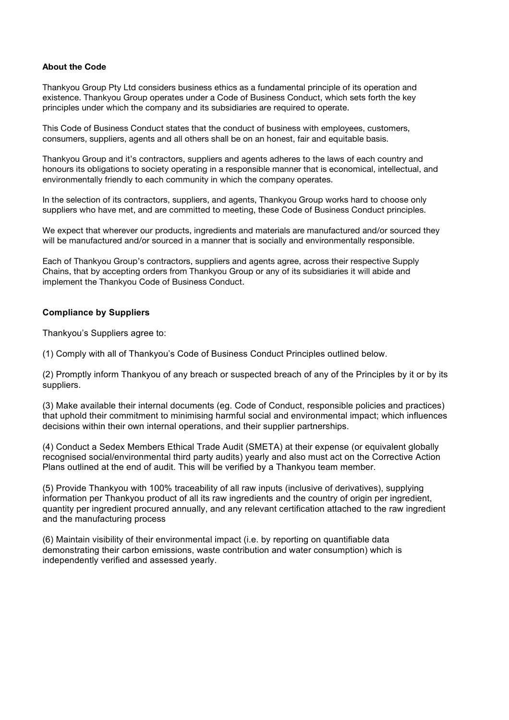## **About the Code**

Thankyou Group Pty Ltd considers business ethics as a fundamental principle of its operation and existence. Thankyou Group operates under a Code of Business Conduct, which sets forth the key principles under which the company and its subsidiaries are required to operate.

This Code of Business Conduct states that the conduct of business with employees, customers, consumers, suppliers, agents and all others shall be on an honest, fair and equitable basis.

Thankyou Group and it's contractors, suppliers and agents adheres to the laws of each country and honours its obligations to society operating in a responsible manner that is economical, intellectual, and environmentally friendly to each community in which the company operates.

In the selection of its contractors, suppliers, and agents, Thankyou Group works hard to choose only suppliers who have met, and are committed to meeting, these Code of Business Conduct principles.

We expect that wherever our products, ingredients and materials are manufactured and/or sourced they will be manufactured and/or sourced in a manner that is socially and environmentally responsible.

Each of Thankyou Group's contractors, suppliers and agents agree, across their respective Supply Chains, that by accepting orders from Thankyou Group or any of its subsidiaries it will abide and implement the Thankyou Code of Business Conduct.

# **Compliance by Suppliers**

Thankyou's Suppliers agree to:

(1) Comply with all of Thankyou's Code of Business Conduct Principles outlined below.

(2) Promptly inform Thankyou of any breach or suspected breach of any of the Principles by it or by its suppliers.

(3) Make available their internal documents (eg. Code of Conduct, responsible policies and practices) that uphold their commitment to minimising harmful social and environmental impact; which influences decisions within their own internal operations, and their supplier partnerships.

(4) Conduct a Sedex Members Ethical Trade Audit (SMETA) at their expense (or equivalent globally recognised social/environmental third party audits) yearly and also must act on the Corrective Action Plans outlined at the end of audit. This will be verified by a Thankyou team member.

(5) Provide Thankyou with 100% traceability of all raw inputs (inclusive of derivatives), supplying information per Thankyou product of all its raw ingredients and the country of origin per ingredient, quantity per ingredient procured annually, and any relevant certification attached to the raw ingredient and the manufacturing process

(6) Maintain visibility of their environmental impact (i.e. by reporting on quantifiable data demonstrating their carbon emissions, waste contribution and water consumption) which is independently verified and assessed yearly.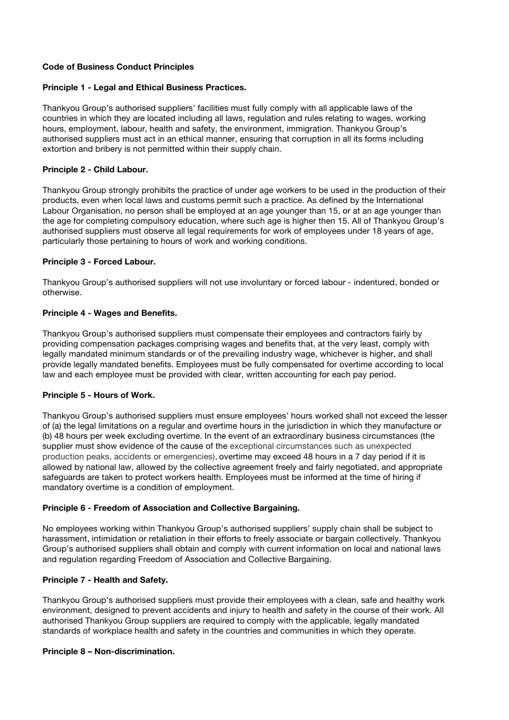## **Code of Business Conduct Principles**

#### **Principle 1 - Legal and Ethical Business Practices.**

Thankyou Group's authorised suppliers' facilities must fully comply with all applicable laws of the countries in which they are located including all laws, regulation and rules relating to wages, working hours, employment, labour, health and safety, the environment, immigration. Thankyou Group's authorised suppliers must act in an ethical manner, ensuring that corruption in all its forms including extortion and bribery is not permitted within their supply chain.

#### **Principle 2 - Child Labour.**

Thankyou Group strongly prohibits the practice of under age workers to be used in the production of their products, even when local laws and customs permit such a practice. As defined by the International Labour Organisation, no person shall be employed at an age younger than 15, or at an age younger than the age for completing compulsory education, where such age is higher then 15. All of Thankyou Group's authorised suppliers must observe all legal requirements for work of employees under 18 years of age, particularly those pertaining to hours of work and working conditions.

#### **Principle 3 - Forced Labour.**

Thankyou Group's authorised suppliers will not use involuntary or forced labour - indentured, bonded or otherwise.

#### **Principle 4 - Wages and Benefits.**

Thankyou Group's authorised suppliers must compensate their employees and contractors fairly by providing compensation packages comprising wages and benefits that, at the very least, comply with legally mandated minimum standards or of the prevailing industry wage, whichever is higher, and shall provide legally mandated benefits. Employees must be fully compensated for overtime according to local law and each employee must be provided with clear, written accounting for each pay period.

#### **Principle 5 - Hours of Work.**

Thankyou Group's authorised suppliers must ensure employees' hours worked shall not exceed the lesser of (a) the legal limitations on a regular and overtime hours in the jurisdiction in which they manufacture or (b) 48 hours per week excluding overtime. In the event of an extraordinary business circumstances (the supplier must show evidence of the cause of the exceptional circumstances such as unexpected production peaks, accidents or emergencies), overtime may exceed 48 hours in a 7 day period if it is allowed by national law, allowed by the collective agreement freely and fairly negotiated, and appropriate safeguards are taken to protect workers health. Employees must be informed at the time of hiring if mandatory overtime is a condition of employment.

## **Principle 6 - Freedom of Association and Collective Bargaining.**

No employees working within Thankyou Group's authorised suppliers' supply chain shall be subject to harassment, intimidation or retaliation in their efforts to freely associate or bargain collectively. Thankyou Group's authorised suppliers shall obtain and comply with current information on local and national laws and regulation regarding Freedom of Association and Collective Bargaining.

## **Principle 7 - Health and Safety.**

Thankyou Group's authorised suppliers must provide their employees with a clean, safe and healthy work environment, designed to prevent accidents and injury to health and safety in the course of their work. All authorised Thankyou Group suppliers are required to comply with the applicable, legally mandated standards of workplace health and safety in the countries and communities in which they operate.

## **Principle 8 – Non-discrimination.**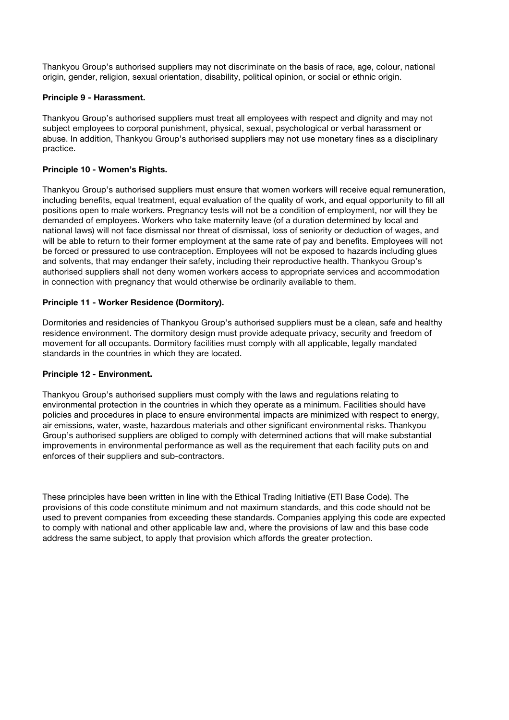Thankyou Group's authorised suppliers may not discriminate on the basis of race, age, colour, national origin, gender, religion, sexual orientation, disability, political opinion, or social or ethnic origin.

#### **Principle 9 - Harassment.**

Thankyou Group's authorised suppliers must treat all employees with respect and dignity and may not subject employees to corporal punishment, physical, sexual, psychological or verbal harassment or abuse. In addition, Thankyou Group's authorised suppliers may not use monetary fines as a disciplinary practice.

## **Principle 10 - Women's Rights.**

Thankyou Group's authorised suppliers must ensure that women workers will receive equal remuneration, including benefits, equal treatment, equal evaluation of the quality of work, and equal opportunity to fill all positions open to male workers. Pregnancy tests will not be a condition of employment, nor will they be demanded of employees. Workers who take maternity leave (of a duration determined by local and national laws) will not face dismissal nor threat of dismissal, loss of seniority or deduction of wages, and will be able to return to their former employment at the same rate of pay and benefits. Employees will not be forced or pressured to use contraception. Employees will not be exposed to hazards including glues and solvents, that may endanger their safety, including their reproductive health. Thankyou Group's authorised suppliers shall not deny women workers access to appropriate services and accommodation in connection with pregnancy that would otherwise be ordinarily available to them.

## **Principle 11 - Worker Residence (Dormitory).**

Dormitories and residencies of Thankyou Group's authorised suppliers must be a clean, safe and healthy residence environment. The dormitory design must provide adequate privacy, security and freedom of movement for all occupants. Dormitory facilities must comply with all applicable, legally mandated standards in the countries in which they are located.

#### **Principle 12 - Environment.**

Thankyou Group's authorised suppliers must comply with the laws and regulations relating to environmental protection in the countries in which they operate as a minimum. Facilities should have policies and procedures in place to ensure environmental impacts are minimized with respect to energy, air emissions, water, waste, hazardous materials and other significant environmental risks. Thankyou Group's authorised suppliers are obliged to comply with determined actions that will make substantial improvements in environmental performance as well as the requirement that each facility puts on and enforces of their suppliers and sub-contractors.

These principles have been written in line with the Ethical Trading Initiative (ETI Base Code). The provisions of this code constitute minimum and not maximum standards, and this code should not be used to prevent companies from exceeding these standards. Companies applying this code are expected to comply with national and other applicable law and, where the provisions of law and this base code address the same subject, to apply that provision which affords the greater protection.